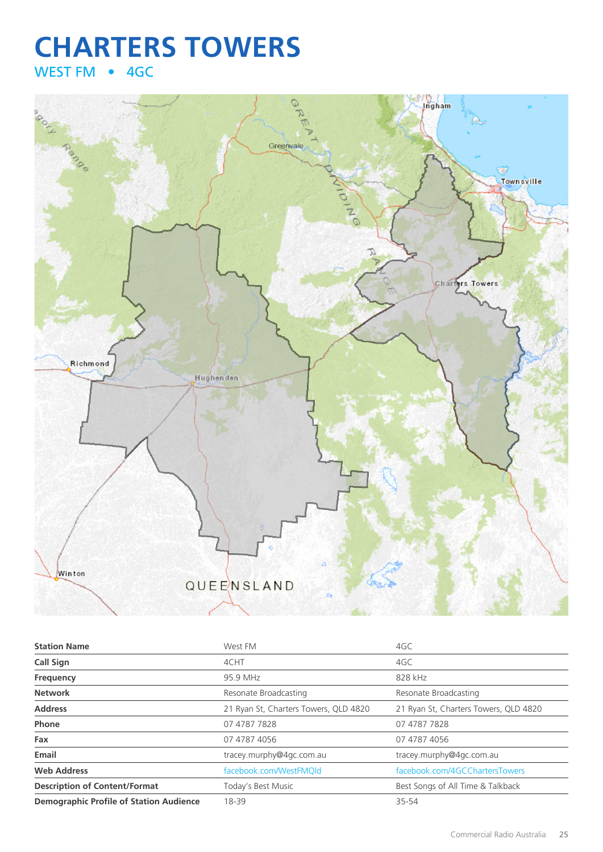## **CHARTERS TOWERS** WEST FM • 4GC



| <b>Station Name</b>                            | West FM                               | 4GC                                   |
|------------------------------------------------|---------------------------------------|---------------------------------------|
| <b>Call Sign</b>                               | 4CHT                                  | 4GC                                   |
| Frequency                                      | 95.9 MHz                              | 828 kHz                               |
| <b>Network</b>                                 | Resonate Broadcasting                 | Resonate Broadcasting                 |
| <b>Address</b>                                 | 21 Ryan St, Charters Towers, QLD 4820 | 21 Ryan St, Charters Towers, QLD 4820 |
| <b>Phone</b>                                   | 07 4787 7828                          | 07 4787 7828                          |
| Fax                                            | 07 4787 4056                          | 07 4787 4056                          |
| Email                                          | tracey.murphy@4gc.com.au              | tracey.murphy@4gc.com.au              |
| <b>Web Address</b>                             | facebook.com/WestFMQld                | facebook.com/4GCChartersTowers        |
| <b>Description of Content/Format</b>           | Today's Best Music                    | Best Songs of All Time & Talkback     |
| <b>Demographic Profile of Station Audience</b> | 18-39                                 | 35-54                                 |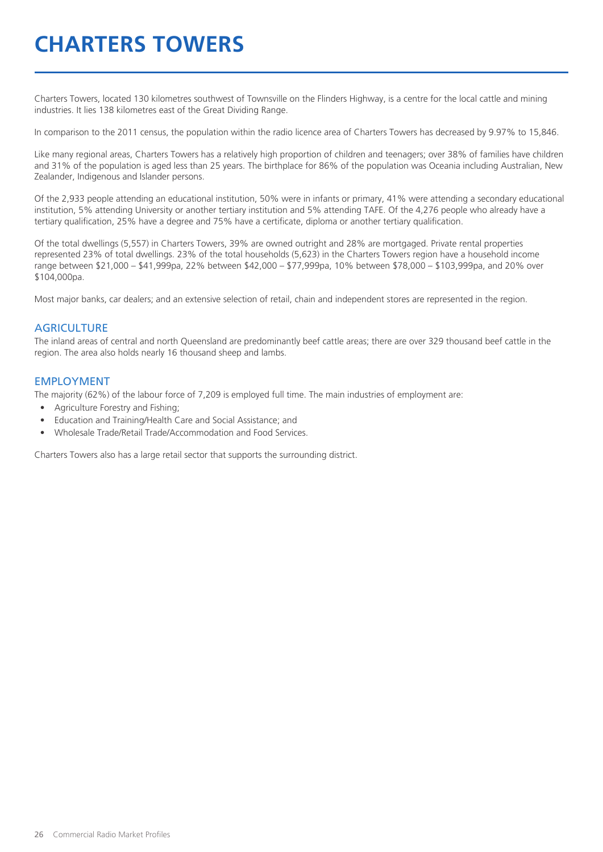# **CHARTERS TOWERS**

Charters Towers, located 130 kilometres southwest of Townsville on the Flinders Highway, is a centre for the local cattle and mining industries. It lies 138 kilometres east of the Great Dividing Range.

In comparison to the 2011 census, the population within the radio licence area of Charters Towers has decreased by 9.97% to 15,846.

Like many regional areas, Charters Towers has a relatively high proportion of children and teenagers; over 38% of families have children and 31% of the population is aged less than 25 years. The birthplace for 86% of the population was Oceania including Australian, New Zealander, Indigenous and Islander persons.

Of the 2,933 people attending an educational institution, 50% were in infants or primary, 41% were attending a secondary educational institution, 5% attending University or another tertiary institution and 5% attending TAFE. Of the 4,276 people who already have a tertiary qualification, 25% have a degree and 75% have a certificate, diploma or another tertiary qualification.

Of the total dwellings (5,557) in Charters Towers, 39% are owned outright and 28% are mortgaged. Private rental properties represented 23% of total dwellings. 23% of the total households (5,623) in the Charters Towers region have a household income range between \$21,000 – \$41,999pa, 22% between \$42,000 – \$77,999pa, 10% between \$78,000 – \$103,999pa, and 20% over \$104,000pa.

Most major banks, car dealers; and an extensive selection of retail, chain and independent stores are represented in the region.

#### **AGRICULTURE**

The inland areas of central and north Queensland are predominantly beef cattle areas; there are over 329 thousand beef cattle in the region. The area also holds nearly 16 thousand sheep and lambs.

#### EMPLOYMENT

The majority (62%) of the labour force of 7,209 is employed full time. The main industries of employment are:

- Agriculture Forestry and Fishing;
- Education and Training/Health Care and Social Assistance; and
- Wholesale Trade/Retail Trade/Accommodation and Food Services.

Charters Towers also has a large retail sector that supports the surrounding district.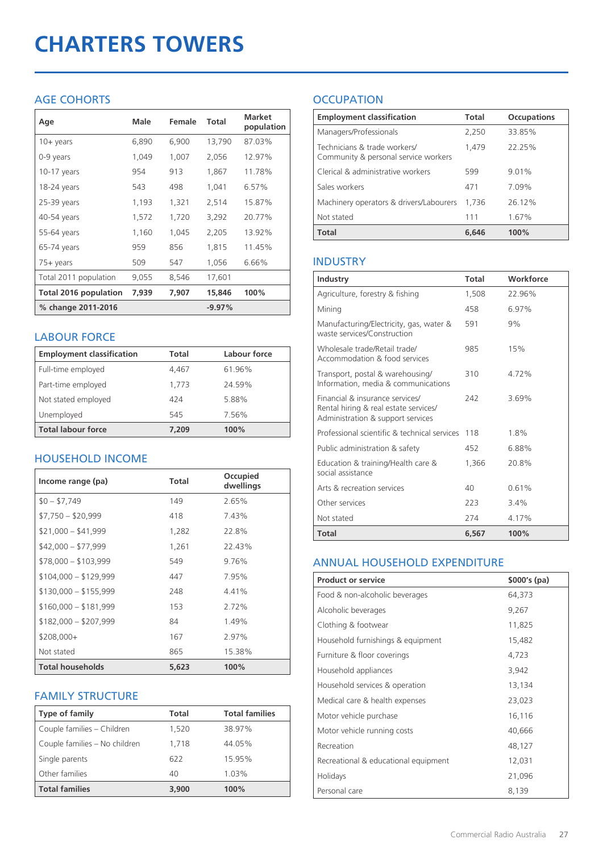# **CHARTERS TOWERS**

### AGE COHORTS

| Age                   | Male  | Female | Total    | <b>Market</b><br>population |
|-----------------------|-------|--------|----------|-----------------------------|
| 10+ years             | 6,890 | 6,900  | 13,790   | 87.03%                      |
| 0-9 years             | 1,049 | 1,007  | 2,056    | 12.97%                      |
| $10-17$ years         | 954   | 913    | 1,867    | 11.78%                      |
| 18-24 years           | 543   | 498    | 1,041    | 6.57%                       |
| $25-39$ years         | 1,193 | 1,321  | 2,514    | 15.87%                      |
| 40-54 years           | 1,572 | 1,720  | 3,292    | 20.77%                      |
| 55-64 years           | 1,160 | 1,045  | 2,205    | 13.92%                      |
| 65-74 years           | 959   | 856    | 1,815    | 11.45%                      |
| 75+ years             | 509   | 547    | 1,056    | 6.66%                       |
| Total 2011 population | 9,055 | 8,546  | 17,601   |                             |
| Total 2016 population | 7,939 | 7,907  | 15,846   | 100%                        |
| % change 2011-2016    |       |        | $-9.97%$ |                             |

#### LABOUR FORCE

| <b>Employment classification</b> | Total | Labour force |
|----------------------------------|-------|--------------|
| Full-time employed               | 4,467 | 61.96%       |
| Part-time employed               | 1.773 | 24.59%       |
| Not stated employed              | 424   | 5.88%        |
| Unemployed                       | 545   | 7.56%        |
| <b>Total labour force</b>        | 7.209 | 100%         |

### HOUSEHOLD INCOME

| Income range (pa)       | Total | Occupied<br>dwellings |
|-------------------------|-------|-----------------------|
| $$0 - $7,749$           | 149   | 2.65%                 |
| $$7,750 - $20,999$      | 418   | 7.43%                 |
| $$21,000 - $41,999$     | 1,282 | 22.8%                 |
| $$42,000 - $77,999$     | 1,261 | 22.43%                |
| $$78,000 - $103,999$    | 549   | 9.76%                 |
| $$104,000 - $129,999$   | 447   | 7.95%                 |
| $$130,000 - $155,999$   | 248   | 4.41%                 |
| $$160,000 - $181,999$   | 153   | 2.72%                 |
| $$182,000 - $207,999$   | 84    | 1.49%                 |
| $$208,000+$             | 167   | 2.97%                 |
| Not stated              | 865   | 15.38%                |
| <b>Total households</b> | 5,623 | 100%                  |

#### FAMILY STRUCTURE

| Type of family                | Total | <b>Total families</b> |
|-------------------------------|-------|-----------------------|
| Couple families - Children    | 1,520 | 38.97%                |
| Couple families - No children | 1,718 | 44.05%                |
| Single parents                | 622   | 15.95%                |
| Other families                | 40    | 1.03%                 |
| <b>Total families</b>         | 3,900 | 100%                  |

## **OCCUPATION**

| <b>Employment classification</b>                                     | <b>Total</b> | <b>Occupations</b> |
|----------------------------------------------------------------------|--------------|--------------------|
| Managers/Professionals                                               | 2,250        | 33.85%             |
| Technicians & trade workers/<br>Community & personal service workers | 1.479        | 22.25%             |
| Clerical & administrative workers                                    | 599          | 9.01%              |
| Sales workers                                                        | 471          | 7.09%              |
| Machinery operators & drivers/Labourers                              | 1.736        | 26.12%             |
| Not stated                                                           | 111          | 1.67%              |
| <b>Total</b>                                                         | 6,646        | 100%               |

### INDUSTRY

| <b>Industry</b>                                                                                               | <b>Total</b> | Workforce |
|---------------------------------------------------------------------------------------------------------------|--------------|-----------|
| Agriculture, forestry & fishing                                                                               | 1,508        | 22.96%    |
| Mining                                                                                                        | 458          | 6.97%     |
| Manufacturing/Electricity, gas, water &<br>waste services/Construction                                        | 591          | 9%        |
| Wholesale trade/Retail trade/<br>Accommodation & food services                                                | 985          | 15%       |
| Transport, postal & warehousing/<br>Information, media & communications                                       | 310          | 4.72%     |
| Financial & insurance services/<br>Rental hiring & real estate services/<br>Administration & support services | 242          | 3.69%     |
| Professional scientific & technical services                                                                  | 118          | 1.8%      |
| Public administration & safety                                                                                | 452          | 6.88%     |
| Education & training/Health care &<br>social assistance                                                       | 1,366        | 20.8%     |
| Arts & recreation services                                                                                    | 40           | 0.61%     |
| Other services                                                                                                | 223          | $3.4\%$   |
| Not stated                                                                                                    | 274          | 4.17%     |
| Total                                                                                                         | 6,567        | 100%      |

#### ANNUAL HOUSEHOLD EXPENDITURE

| <b>Product or service</b>            | $$000's$ (pa) |
|--------------------------------------|---------------|
| Food & non-alcoholic beverages       | 64,373        |
| Alcoholic beverages                  | 9,267         |
| Clothing & footwear                  | 11,825        |
| Household furnishings & equipment    | 15,482        |
| Furniture & floor coverings          | 4,723         |
| Household appliances                 | 3,942         |
| Household services & operation       | 13,134        |
| Medical care & health expenses       | 23,023        |
| Motor vehicle purchase               | 16,116        |
| Motor vehicle running costs          | 40,666        |
| Recreation                           | 48,127        |
| Recreational & educational equipment | 12,031        |
| Holidays                             | 21,096        |
| Personal care                        | 8,139         |